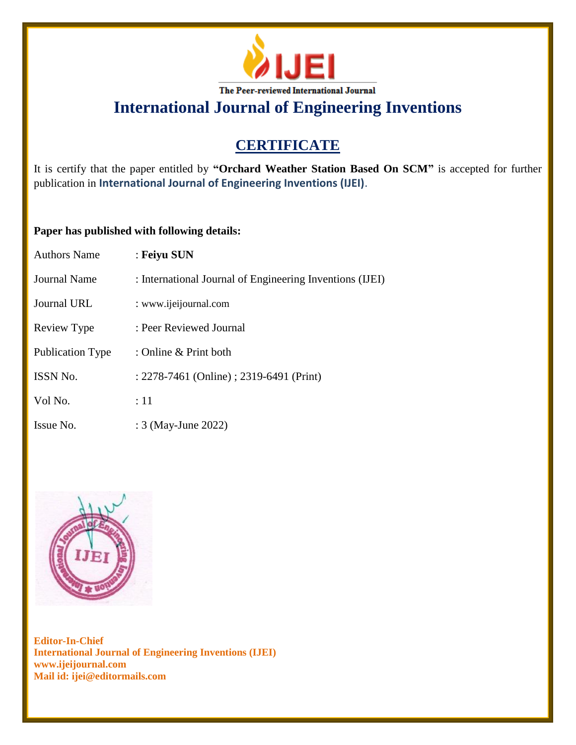

### **CERTIFICATE**

It is certify that the paper entitled by **"Orchard Weather Station Based On SCM"** is accepted for further publication in **International Journal of Engineering Inventions (IJEI)**.

### **Paper has published with following details:**

| <b>Authors Name</b>     | : Feiyu SUN                                              |
|-------------------------|----------------------------------------------------------|
| <b>Journal Name</b>     | : International Journal of Engineering Inventions (IJEI) |
| <b>Journal URL</b>      | : www.ijeijournal.com                                    |
| Review Type             | : Peer Reviewed Journal                                  |
| <b>Publication Type</b> | : Online & Print both                                    |
| ISSN No.                | : 2278-7461 (Online) ; 2319-6491 (Print)                 |
| Vol No.                 | $\div 11$                                                |
| Issue No.               | : 3 (May-June 2022)                                      |

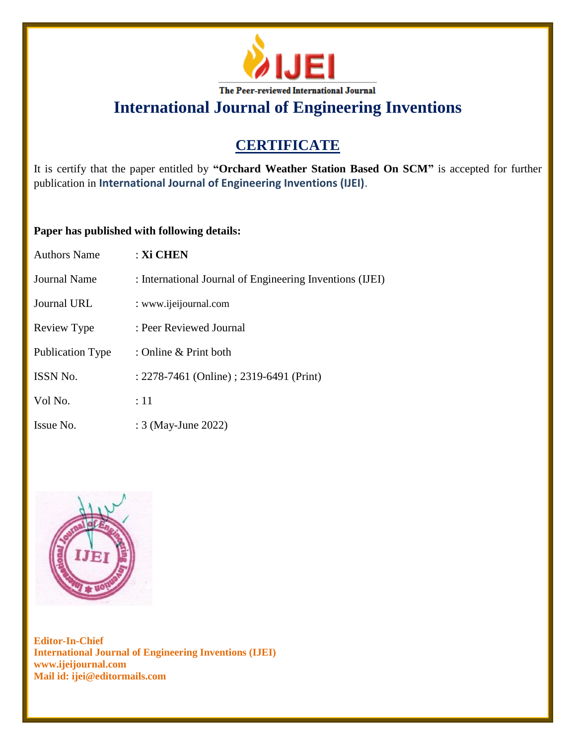

### **CERTIFICATE**

It is certify that the paper entitled by **"Orchard Weather Station Based On SCM"** is accepted for further publication in **International Journal of Engineering Inventions (IJEI)**.

#### **Paper has published with following details:**

| <b>Authors Name</b>     | : Xi CHEN                                                |
|-------------------------|----------------------------------------------------------|
| Journal Name            | : International Journal of Engineering Inventions (IJEI) |
| Journal URL             | : www.ijeijournal.com                                    |
| Review Type             | : Peer Reviewed Journal                                  |
| <b>Publication Type</b> | : Online & Print both                                    |
| ISSN No.                | : 2278-7461 (Online) ; 2319-6491 (Print)                 |
| Vol No.                 | $\div 11$                                                |
| Issue No.               | : 3 (May-June 2022)                                      |

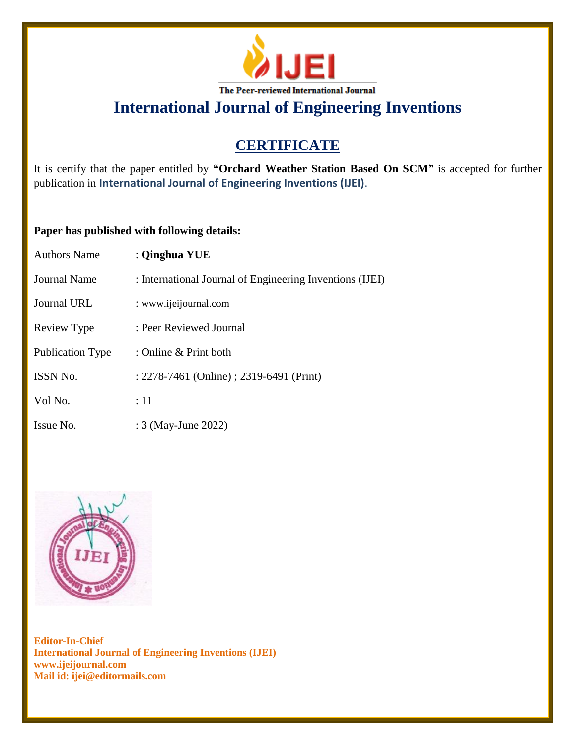

## **CERTIFICATE**

It is certify that the paper entitled by **"Orchard Weather Station Based On SCM"** is accepted for further publication in **International Journal of Engineering Inventions (IJEI)**.

### **Paper has published with following details:**

| <b>Authors Name</b>     | : Qinghua YUE                                            |
|-------------------------|----------------------------------------------------------|
| Journal Name            | : International Journal of Engineering Inventions (IJEI) |
| Journal URL             | : www.ijeijournal.com                                    |
| Review Type             | : Peer Reviewed Journal                                  |
| <b>Publication Type</b> | : Online & Print both                                    |
| <b>ISSN No.</b>         | : 2278-7461 (Online) ; 2319-6491 (Print)                 |
| Vol No.                 | :11                                                      |
| Issue No.               | : 3 (May-June 2022)                                      |

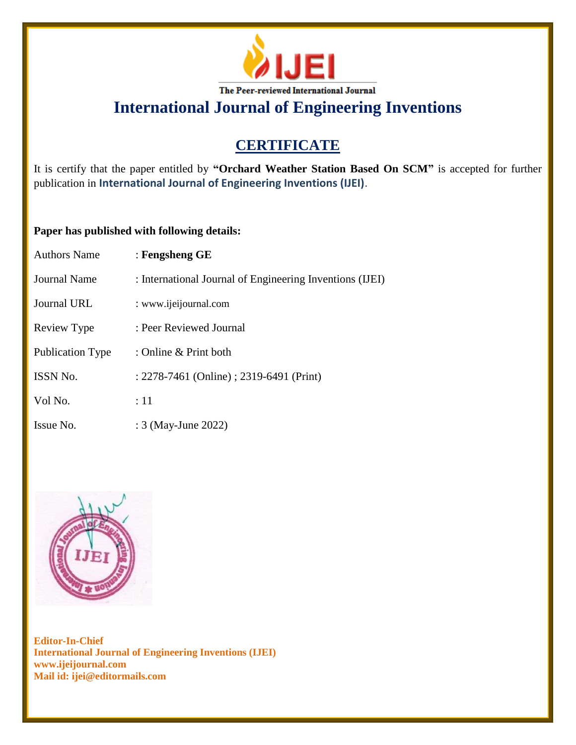

## **CERTIFICATE**

It is certify that the paper entitled by **"Orchard Weather Station Based On SCM"** is accepted for further publication in **International Journal of Engineering Inventions (IJEI)**.

### **Paper has published with following details:**

| <b>Authors Name</b>     | : Fengsheng $GE$                                         |
|-------------------------|----------------------------------------------------------|
| Journal Name            | : International Journal of Engineering Inventions (IJEI) |
| Journal URL             | : www.ijeijournal.com                                    |
| Review Type             | : Peer Reviewed Journal                                  |
| <b>Publication Type</b> | : Online & Print both                                    |
| <b>ISSN No.</b>         | : 2278-7461 (Online) ; 2319-6491 (Print)                 |
| Vol No.                 | :11                                                      |
| Issue No.               | : 3 (May-June 2022)                                      |

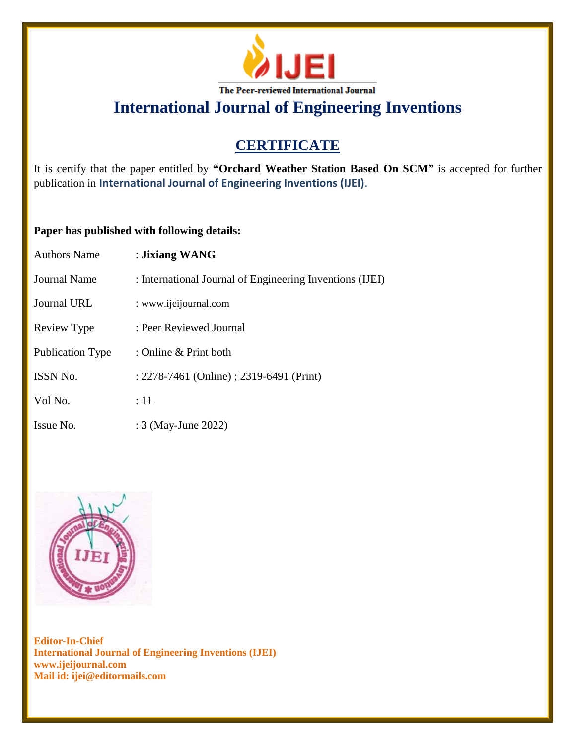

## **CERTIFICATE**

It is certify that the paper entitled by **"Orchard Weather Station Based On SCM"** is accepted for further publication in **International Journal of Engineering Inventions (IJEI)**.

### **Paper has published with following details:**

| <b>Authors Name</b> | : Jixiang WANG                                           |
|---------------------|----------------------------------------------------------|
| <b>Journal Name</b> | : International Journal of Engineering Inventions (IJEI) |
| Journal URL         | : www.ijeijournal.com                                    |
| Review Type         | : Peer Reviewed Journal                                  |
| Publication Type    | : Online & Print both                                    |
| <b>ISSN No.</b>     | : 2278-7461 (Online) ; 2319-6491 (Print)                 |
| Vol No.             | :11                                                      |
| Issue No.           | : 3 (May-June 2022)                                      |

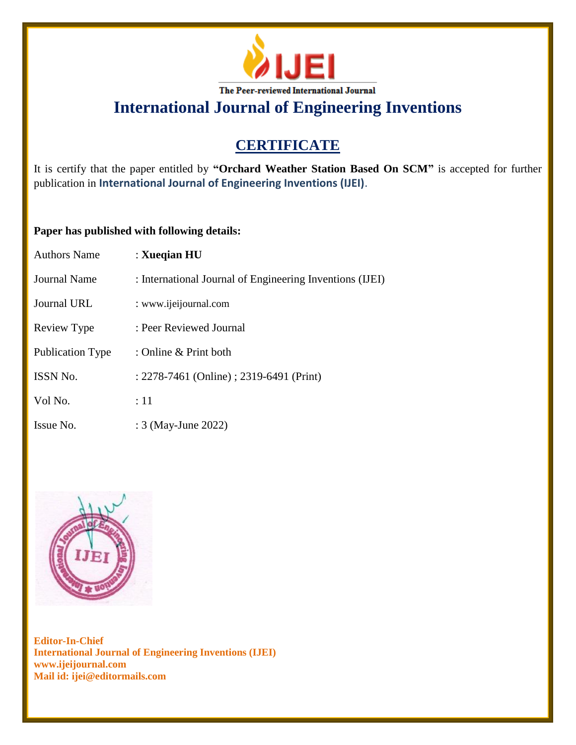

## **CERTIFICATE**

It is certify that the paper entitled by **"Orchard Weather Station Based On SCM"** is accepted for further publication in **International Journal of Engineering Inventions (IJEI)**.

### **Paper has published with following details:**

| <b>Authors Name</b> | : Xueqian HU                                             |
|---------------------|----------------------------------------------------------|
| <b>Journal Name</b> | : International Journal of Engineering Inventions (IJEI) |
| Journal URL         | : www.ijeijournal.com                                    |
| Review Type         | : Peer Reviewed Journal                                  |
| Publication Type    | : Online & Print both                                    |
| ISSN No.            | : 2278-7461 (Online) ; 2319-6491 (Print)                 |
| Vol No.             | :11                                                      |
| Issue No.           | : 3 (May-June 2022)                                      |

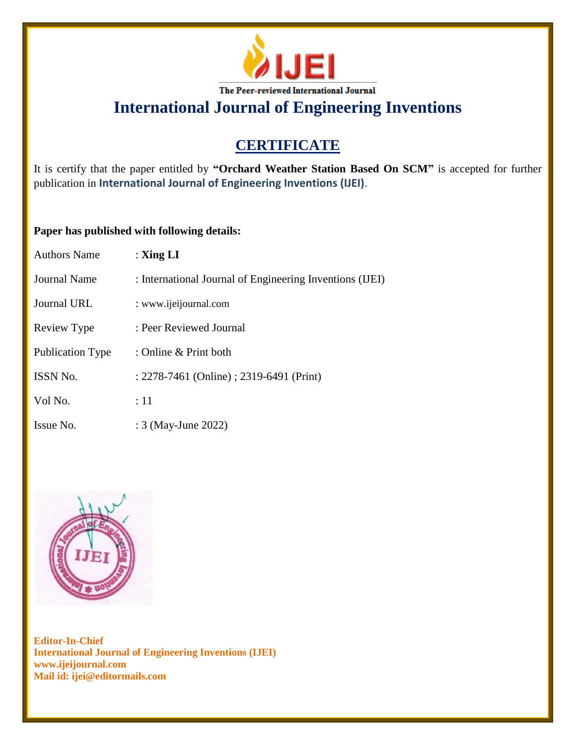

### **CERTIFICATE**

It is certify that the paper entitled by **"Orchard Weather Station Based On SCM"** is accepted for further publication in **International Journal of Engineering Inventions (IJEI)**.

### **Paper has published with following details:**

| <b>Authors Name</b>     | : $\mathbf{Xing} \mathbf{LI}$                            |
|-------------------------|----------------------------------------------------------|
| Journal Name            | : International Journal of Engineering Inventions (IJEI) |
| Journal URL             | : www.ijeijournal.com                                    |
| Review Type             | : Peer Reviewed Journal                                  |
| <b>Publication Type</b> | : Online & Print both                                    |
| <b>ISSN No.</b>         | : 2278-7461 (Online) ; 2319-6491 (Print)                 |
| Vol No.                 | :11                                                      |
| Issue No.               | : 3 (May-June 2022)                                      |